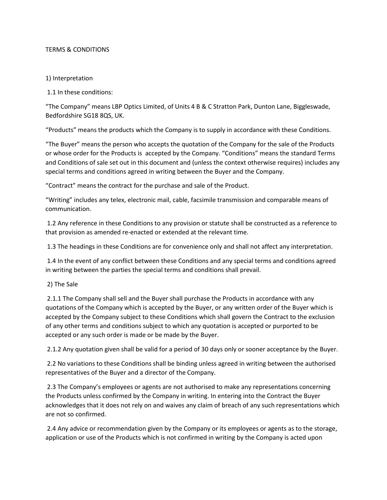# TERMS & CONDITIONS

# 1) Interpretation

1.1 In these conditions:

"The Company" means LBP Optics Limited, of Units 4 B & C Stratton Park, Dunton Lane, Biggleswade, Bedfordshire SG18 8QS, UK.

"Products" means the products which the Company is to supply in accordance with these Conditions.

"The Buyer" means the person who accepts the quotation of the Company for the sale of the Products or whose order for the Products is accepted by the Company. "Conditions" means the standard Terms and Conditions of sale set out in this document and (unless the context otherwise requires) includes any special terms and conditions agreed in writing between the Buyer and the Company.

"Contract" means the contract for the purchase and sale of the Product.

"Writing" includes any telex, electronic mail, cable, facsimile transmission and comparable means of communication.

1.2 Any reference in these Conditions to any provision or statute shall be constructed as a reference to that provision as amended re-enacted or extended at the relevant time.

1.3 The headings in these Conditions are for convenience only and shall not affect any interpretation.

1.4 In the event of any conflict between these Conditions and any special terms and conditions agreed in writing between the parties the special terms and conditions shall prevail.

## 2) The Sale

2.1.1 The Company shall sell and the Buyer shall purchase the Products in accordance with any quotations of the Company which is accepted by the Buyer, or any written order of the Buyer which is accepted by the Company subject to these Conditions which shall govern the Contract to the exclusion of any other terms and conditions subject to which any quotation is accepted or purported to be accepted or any such order is made or be made by the Buyer.

2.1.2 Any quotation given shall be valid for a period of 30 days only or sooner acceptance by the Buyer.

2.2 No variations to these Conditions shall be binding unless agreed in writing between the authorised representatives of the Buyer and a director of the Company.

2.3 The Company's employees or agents are not authorised to make any representations concerning the Products unless confirmed by the Company in writing. In entering into the Contract the Buyer acknowledges that it does not rely on and waives any claim of breach of any such representations which are not so confirmed.

2.4 Any advice or recommendation given by the Company or its employees or agents as to the storage, application or use of the Products which is not confirmed in writing by the Company is acted upon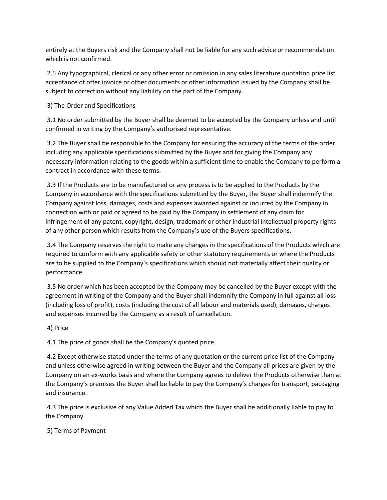entirely at the Buyers risk and the Company shall not be liable for any such advice or recommendation which is not confirmed.

2.5 Any typographical, clerical or any other error or omission in any sales literature quotation price list acceptance of offer invoice or other documents or other information issued by the Company shall be subject to correction without any liability on the part of the Company.

3) The Order and Specifications

3.1 No order submitted by the Buyer shall be deemed to be accepted by the Company unless and until confirmed in writing by the Company's authorised representative.

3.2 The Buyer shall be responsible to the Company for ensuring the accuracy of the terms of the order including any applicable specifications submitted by the Buyer and for giving the Company any necessary information relating to the goods within a sufficient time to enable the Company to perform a contract in accordance with these terms.

3.3 If the Products are to be manufactured or any process is to be applied to the Products by the Company in accordance with the specifications submitted by the Buyer, the Buyer shall indemnify the Company against loss, damages, costs and expenses awarded against or incurred by the Company in connection with or paid or agreed to be paid by the Company in settlement of any claim for infringement of any patent, copyright, design, trademark or other industrial intellectual property rights of any other person which results from the Company's use of the Buyers specifications.

3.4 The Company reserves the right to make any changes in the specifications of the Products which are required to conform with any applicable safety or other statutory requirements or where the Products are to be supplied to the Company's specifications which should not materially affect their quality or performance.

3.5 No order which has been accepted by the Company may be cancelled by the Buyer except with the agreement in writing of the Company and the Buyer shall indemnify the Company in full against all loss (including loss of profit), costs (including the cost of all labour and materials used), damages, charges and expenses incurred by the Company as a result of cancellation.

4) Price

4.1 The price of goods shall be the Company's quoted price.

4.2 Except otherwise stated under the terms of any quotation or the current price list of the Company and unless otherwise agreed in writing between the Buyer and the Company all prices are given by the Company on an ex-works basis and where the Company agrees to deliver the Products otherwise than at the Company's premises the Buyer shall be liable to pay the Company's charges for transport, packaging and insurance.

4.3 The price is exclusive of any Value Added Tax which the Buyer shall be additionally liable to pay to the Company.

5) Terms of Payment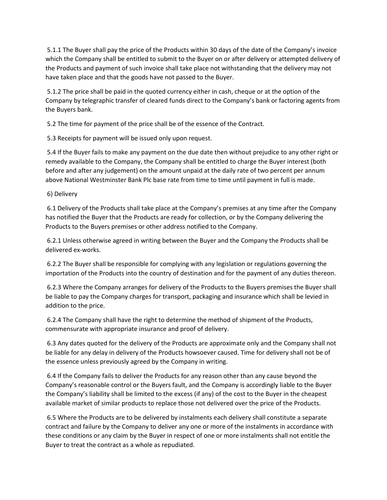5.1.1 The Buyer shall pay the price of the Products within 30 days of the date of the Company's invoice which the Company shall be entitled to submit to the Buyer on or after delivery or attempted delivery of the Products and payment of such invoice shall take place not withstanding that the delivery may not have taken place and that the goods have not passed to the Buyer.

5.1.2 The price shall be paid in the quoted currency either in cash, cheque or at the option of the Company by telegraphic transfer of cleared funds direct to the Company's bank or factoring agents from the Buyers bank.

5.2 The time for payment of the price shall be of the essence of the Contract.

5.3 Receipts for payment will be issued only upon request.

5.4 If the Buyer fails to make any payment on the due date then without prejudice to any other right or remedy available to the Company, the Company shall be entitled to charge the Buyer interest (both before and after any judgement) on the amount unpaid at the daily rate of two percent per annum above National Westminster Bank Plc base rate from time to time until payment in full is made.

6) Delivery

6.1 Delivery of the Products shall take place at the Company's premises at any time after the Company has notified the Buyer that the Products are ready for collection, or by the Company delivering the Products to the Buyers premises or other address notified to the Company.

6.2.1 Unless otherwise agreed in writing between the Buyer and the Company the Products shall be delivered ex-works.

6.2.2 The Buyer shall be responsible for complying with any legislation or regulations governing the importation of the Products into the country of destination and for the payment of any duties thereon.

6.2.3 Where the Company arranges for delivery of the Products to the Buyers premises the Buyer shall be liable to pay the Company charges for transport, packaging and insurance which shall be levied in addition to the price.

6.2.4 The Company shall have the right to determine the method of shipment of the Products, commensurate with appropriate insurance and proof of delivery.

6.3 Any dates quoted for the delivery of the Products are approximate only and the Company shall not be liable for any delay in delivery of the Products howsoever caused. Time for delivery shall not be of the essence unless previously agreed by the Company in writing.

6.4 If the Company fails to deliver the Products for any reason other than any cause beyond the Company's reasonable control or the Buyers fault, and the Company is accordingly liable to the Buyer the Company's liability shall be limited to the excess (if any) of the cost to the Buyer in the cheapest available market of similar products to replace those not delivered over the price of the Products.

6.5 Where the Products are to be delivered by instalments each delivery shall constitute a separate contract and failure by the Company to deliver any one or more of the instalments in accordance with these conditions or any claim by the Buyer in respect of one or more instalments shall not entitle the Buyer to treat the contract as a whole as repudiated.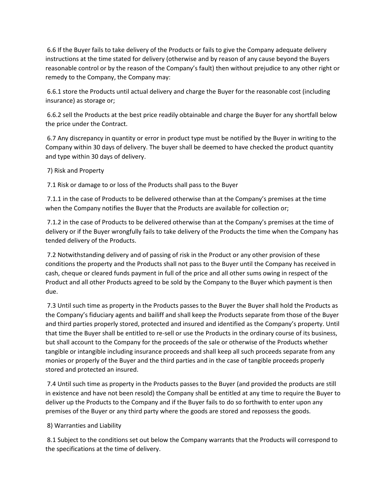6.6 If the Buyer fails to take delivery of the Products or fails to give the Company adequate delivery instructions at the time stated for delivery (otherwise and by reason of any cause beyond the Buyers reasonable control or by the reason of the Company's fault) then without prejudice to any other right or remedy to the Company, the Company may:

6.6.1 store the Products until actual delivery and charge the Buyer for the reasonable cost (including insurance) as storage or;

6.6.2 sell the Products at the best price readily obtainable and charge the Buyer for any shortfall below the price under the Contract.

6.7 Any discrepancy in quantity or error in product type must be notified by the Buyer in writing to the Company within 30 days of delivery. The buyer shall be deemed to have checked the product quantity and type within 30 days of delivery.

7) Risk and Property

7.1 Risk or damage to or loss of the Products shall pass to the Buyer

7.1.1 in the case of Products to be delivered otherwise than at the Company's premises at the time when the Company notifies the Buyer that the Products are available for collection or;

7.1.2 in the case of Products to be delivered otherwise than at the Company's premises at the time of delivery or if the Buyer wrongfully fails to take delivery of the Products the time when the Company has tended delivery of the Products.

7.2 Notwithstanding delivery and of passing of risk in the Product or any other provision of these conditions the property and the Products shall not pass to the Buyer until the Company has received in cash, cheque or cleared funds payment in full of the price and all other sums owing in respect of the Product and all other Products agreed to be sold by the Company to the Buyer which payment is then due.

7.3 Until such time as property in the Products passes to the Buyer the Buyer shall hold the Products as the Company's fiduciary agents and bailiff and shall keep the Products separate from those of the Buyer and third parties properly stored, protected and insured and identified as the Company's property. Until that time the Buyer shall be entitled to re-sell or use the Products in the ordinary course of its business, but shall account to the Company for the proceeds of the sale or otherwise of the Products whether tangible or intangible including insurance proceeds and shall keep all such proceeds separate from any monies or properly of the Buyer and the third parties and in the case of tangible proceeds properly stored and protected an insured.

7.4 Until such time as property in the Products passes to the Buyer (and provided the products are still in existence and have not been resold) the Company shall be entitled at any time to require the Buyer to deliver up the Products to the Company and if the Buyer fails to do so forthwith to enter upon any premises of the Buyer or any third party where the goods are stored and repossess the goods.

8) Warranties and Liability

8.1 Subject to the conditions set out below the Company warrants that the Products will correspond to the specifications at the time of delivery.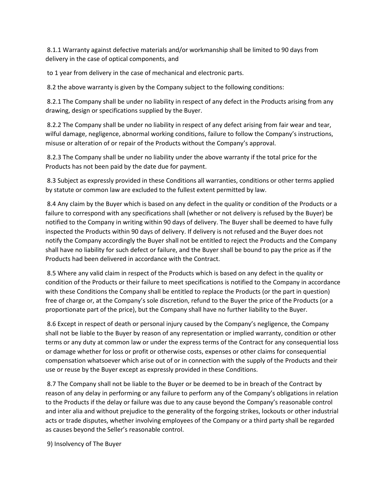8.1.1 Warranty against defective materials and/or workmanship shall be limited to 90 days from delivery in the case of optical components, and

to 1 year from delivery in the case of mechanical and electronic parts.

8.2 the above warranty is given by the Company subject to the following conditions:

8.2.1 The Company shall be under no liability in respect of any defect in the Products arising from any drawing, design or specifications supplied by the Buyer.

8.2.2 The Company shall be under no liability in respect of any defect arising from fair wear and tear, wilful damage, negligence, abnormal working conditions, failure to follow the Company's instructions, misuse or alteration of or repair of the Products without the Company's approval.

8.2.3 The Company shall be under no liability under the above warranty if the total price for the Products has not been paid by the date due for payment.

8.3 Subject as expressly provided in these Conditions all warranties, conditions or other terms applied by statute or common law are excluded to the fullest extent permitted by law.

8.4 Any claim by the Buyer which is based on any defect in the quality or condition of the Products or a failure to correspond with any specifications shall (whether or not delivery is refused by the Buyer) be notified to the Company in writing within 90 days of delivery. The Buyer shall be deemed to have fully inspected the Products within 90 days of delivery. If delivery is not refused and the Buyer does not notify the Company accordingly the Buyer shall not be entitled to reject the Products and the Company shall have no liability for such defect or failure, and the Buyer shall be bound to pay the price as if the Products had been delivered in accordance with the Contract.

8.5 Where any valid claim in respect of the Products which is based on any defect in the quality or condition of the Products or their failure to meet specifications is notified to the Company in accordance with these Conditions the Company shall be entitled to replace the Products (or the part in question) free of charge or, at the Company's sole discretion, refund to the Buyer the price of the Products (or a proportionate part of the price), but the Company shall have no further liability to the Buyer.

8.6 Except in respect of death or personal injury caused by the Company's negligence, the Company shall not be liable to the Buyer by reason of any representation or implied warranty, condition or other terms or any duty at common law or under the express terms of the Contract for any consequential loss or damage whether for loss or profit or otherwise costs, expenses or other claims for consequential compensation whatsoever which arise out of or in connection with the supply of the Products and their use or reuse by the Buyer except as expressly provided in these Conditions.

8.7 The Company shall not be liable to the Buyer or be deemed to be in breach of the Contract by reason of any delay in performing or any failure to perform any of the Company's obligations in relation to the Products if the delay or failure was due to any cause beyond the Company's reasonable control and inter alia and without prejudice to the generality of the forgoing strikes, lockouts or other industrial acts or trade disputes, whether involving employees of the Company or a third party shall be regarded as causes beyond the Seller's reasonable control.

9) Insolvency of The Buyer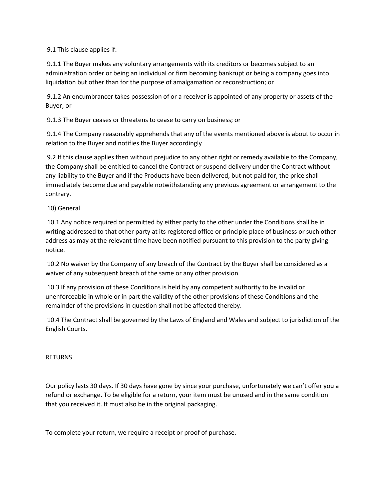9.1 This clause applies if:

9.1.1 The Buyer makes any voluntary arrangements with its creditors or becomes subject to an administration order or being an individual or firm becoming bankrupt or being a company goes into liquidation but other than for the purpose of amalgamation or reconstruction; or

9.1.2 An encumbrancer takes possession of or a receiver is appointed of any property or assets of the Buyer; or

9.1.3 The Buyer ceases or threatens to cease to carry on business; or

9.1.4 The Company reasonably apprehends that any of the events mentioned above is about to occur in relation to the Buyer and notifies the Buyer accordingly

9.2 If this clause applies then without prejudice to any other right or remedy available to the Company, the Company shall be entitled to cancel the Contract or suspend delivery under the Contract without any liability to the Buyer and if the Products have been delivered, but not paid for, the price shall immediately become due and payable notwithstanding any previous agreement or arrangement to the contrary.

10) General

10.1 Any notice required or permitted by either party to the other under the Conditions shall be in writing addressed to that other party at its registered office or principle place of business or such other address as may at the relevant time have been notified pursuant to this provision to the party giving notice.

10.2 No waiver by the Company of any breach of the Contract by the Buyer shall be considered as a waiver of any subsequent breach of the same or any other provision.

10.3 If any provision of these Conditions is held by any competent authority to be invalid or unenforceable in whole or in part the validity of the other provisions of these Conditions and the remainder of the provisions in question shall not be affected thereby.

10.4 The Contract shall be governed by the Laws of England and Wales and subject to jurisdiction of the English Courts.

RETURNS

Our policy lasts 30 days. If 30 days have gone by since your purchase, unfortunately we can't offer you a refund or exchange. To be eligible for a return, your item must be unused and in the same condition that you received it. It must also be in the original packaging.

To complete your return, we require a receipt or proof of purchase.